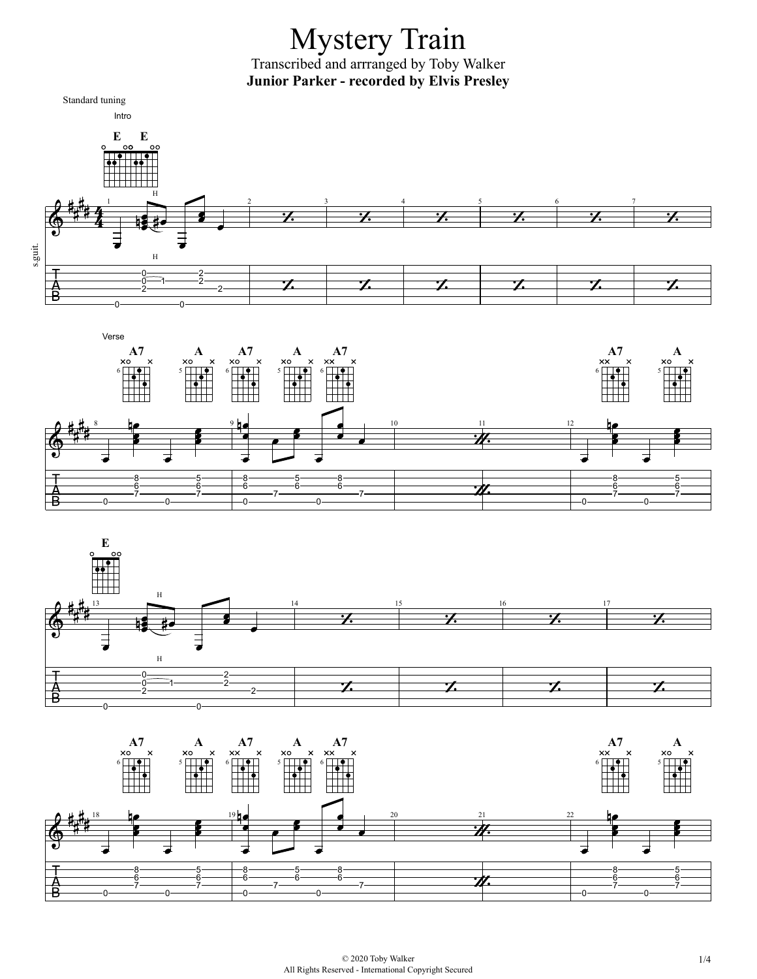## Mystery Train Transcribed and arrranged by Toby Walker **Junior Parker - recorded by Elvis Presley**







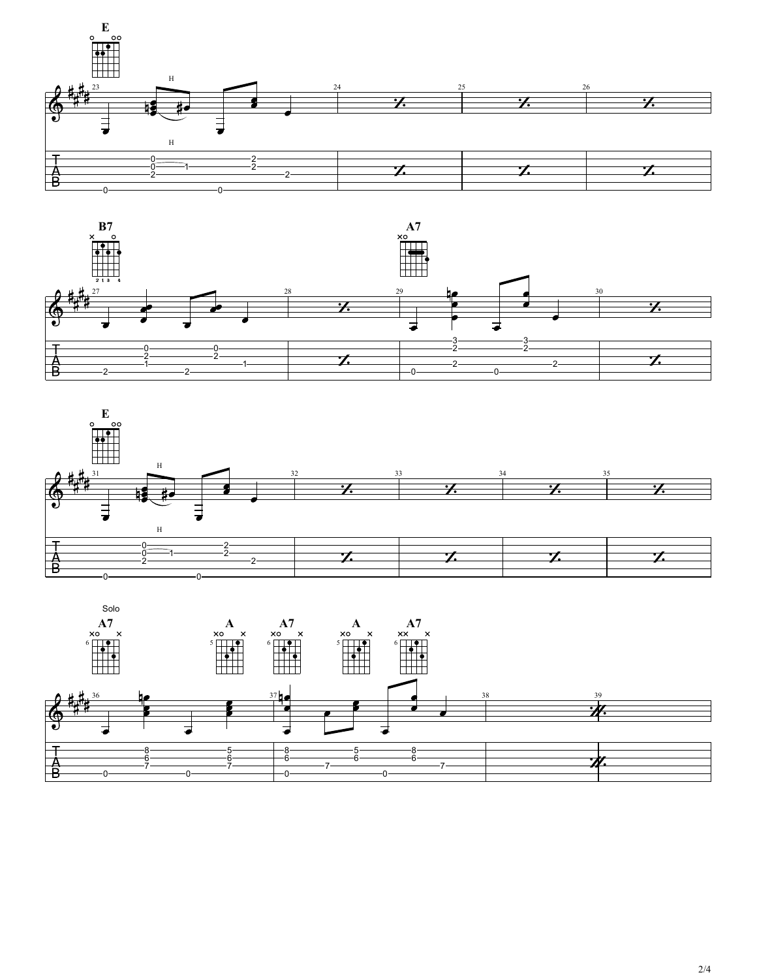





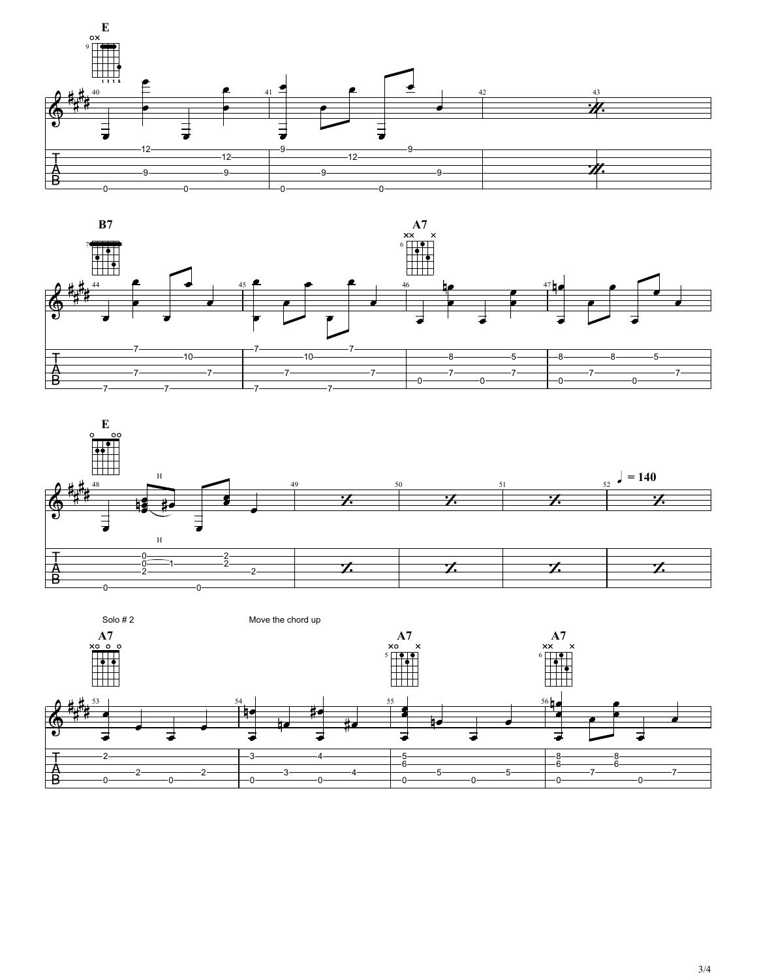